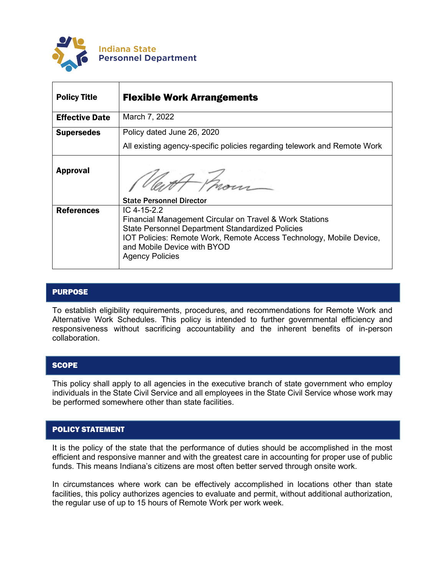

| <b>Policy Title</b>   | <b>Flexible Work Arrangements</b>                                                                                                                                                                                                                                 |
|-----------------------|-------------------------------------------------------------------------------------------------------------------------------------------------------------------------------------------------------------------------------------------------------------------|
| <b>Effective Date</b> | March 7, 2022                                                                                                                                                                                                                                                     |
| <b>Supersedes</b>     | Policy dated June 26, 2020                                                                                                                                                                                                                                        |
|                       | All existing agency-specific policies regarding telework and Remote Work                                                                                                                                                                                          |
| <b>Approval</b>       | <b>State Personnel Director</b>                                                                                                                                                                                                                                   |
| <b>References</b>     | IC 4-15-2.2<br>Financial Management Circular on Travel & Work Stations<br><b>State Personnel Department Standardized Policies</b><br>IOT Policies: Remote Work, Remote Access Technology, Mobile Device,<br>and Mobile Device with BYOD<br><b>Agency Policies</b> |

# **PURPOSE**

To establish eligibility requirements, procedures, and recommendations for Remote Work and Alternative Work Schedules. This policy is intended to further governmental efficiency and responsiveness without sacrificing accountability and the inherent benefits of in-person collaboration.

### **SCOPE**

This policy shall apply to all agencies in the executive branch of state government who employ individuals in the State Civil Service and all employees in the State Civil Service whose work may be performed somewhere other than state facilities.

# POLICY STATEMENT

It is the policy of the state that the performance of duties should be accomplished in the most efficient and responsive manner and with the greatest care in accounting for proper use of public funds. This means Indiana's citizens are most often better served through onsite work.

In circumstances where work can be effectively accomplished in locations other than state facilities, this policy authorizes agencies to evaluate and permit, without additional authorization, the regular use of up to 15 hours of Remote Work per work week.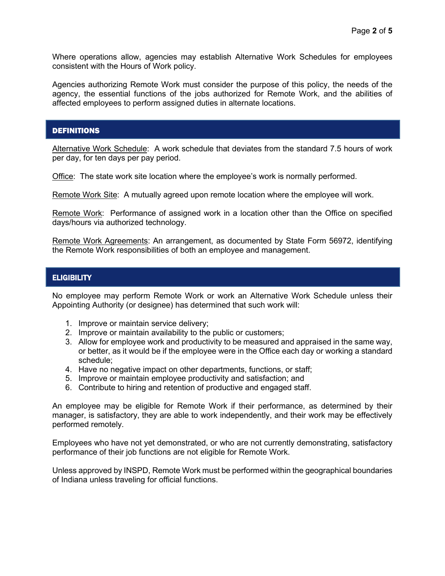Where operations allow, agencies may establish Alternative Work Schedules for employees consistent with the Hours of Work policy.

Agencies authorizing Remote Work must consider the purpose of this policy, the needs of the agency, the essential functions of the jobs authorized for Remote Work, and the abilities of affected employees to perform assigned duties in alternate locations.

## DEFINITIONS

Alternative Work Schedule: A work schedule that deviates from the standard 7.5 hours of work per day, for ten days per pay period.

Office: The state work site location where the employee's work is normally performed.

Remote Work Site: A mutually agreed upon remote location where the employee will work.

Remote Work: Performance of assigned work in a location other than the Office on specified days/hours via authorized technology.

Remote Work Agreements: An arrangement, as documented by State Form 56972, identifying the Remote Work responsibilities of both an employee and management.

### **ELIGIBILITY**

No employee may perform Remote Work or work an Alternative Work Schedule unless their Appointing Authority (or designee) has determined that such work will:

- 1. Improve or maintain service delivery;
- 2. Improve or maintain availability to the public or customers;
- 3. Allow for employee work and productivity to be measured and appraised in the same way, or better, as it would be if the employee were in the Office each day or working a standard schedule;
- 4. Have no negative impact on other departments, functions, or staff;
- 5. Improve or maintain employee productivity and satisfaction; and
- 6. Contribute to hiring and retention of productive and engaged staff.

An employee may be eligible for Remote Work if their performance, as determined by their manager, is satisfactory, they are able to work independently, and their work may be effectively performed remotely.

Employees who have not yet demonstrated, or who are not currently demonstrating, satisfactory performance of their job functions are not eligible for Remote Work.

Unless approved by INSPD, Remote Work must be performed within the geographical boundaries of Indiana unless traveling for official functions.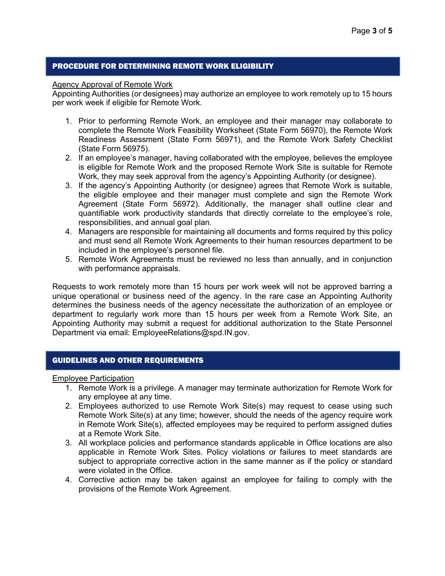### PROCEDURE FOR DETERMINING REMOTE WORK ELIGIBILITY

### Agency Approval of Remote Work

Appointing Authorities (or designees) may authorize an employee to work remotely up to 15 hours per work week if eligible for Remote Work.

- 1. Prior to performing Remote Work, an employee and their manager may collaborate to complete the Remote Work Feasibility Worksheet (State Form 56970), the Remote Work Readiness Assessment (State Form 56971), and the Remote Work Safety Checklist (State Form 56975).
- 2. If an employee's manager, having collaborated with the employee, believes the employee is eligible for Remote Work and the proposed Remote Work Site is suitable for Remote Work, they may seek approval from the agency's Appointing Authority (or designee).
- 3. If the agency's Appointing Authority (or designee) agrees that Remote Work is suitable, the eligible employee and their manager must complete and sign the Remote Work Agreement (State Form 56972). Additionally, the manager shall outline clear and quantifiable work productivity standards that directly correlate to the employee's role, responsibilities, and annual goal plan.
- 4. Managers are responsible for maintaining all documents and forms required by this policy and must send all Remote Work Agreements to their human resources department to be included in the employee's personnel file.
- 5. Remote Work Agreements must be reviewed no less than annually, and in conjunction with performance appraisals.

Requests to work remotely more than 15 hours per work week will not be approved barring a unique operational or business need of the agency. In the rare case an Appointing Authority determines the business needs of the agency necessitate the authorization of an employee or department to regularly work more than 15 hours per week from a Remote Work Site, an Appointing Authority may submit a request for additional authorization to the State Personnel Department via email: EmployeeRelations@spd.IN.gov.

# GUIDELINES AND OTHER REQUIREMENTS

#### Employee Participation

- 1. Remote Work is a privilege. A manager may terminate authorization for Remote Work for any employee at any time.
- 2. Employees authorized to use Remote Work Site(s) may request to cease using such Remote Work Site(s) at any time; however, should the needs of the agency require work in Remote Work Site(s), affected employees may be required to perform assigned duties at a Remote Work Site.
- 3. All workplace policies and performance standards applicable in Office locations are also applicable in Remote Work Sites. Policy violations or failures to meet standards are subject to appropriate corrective action in the same manner as if the policy or standard were violated in the Office.
- 4. Corrective action may be taken against an employee for failing to comply with the provisions of the Remote Work Agreement.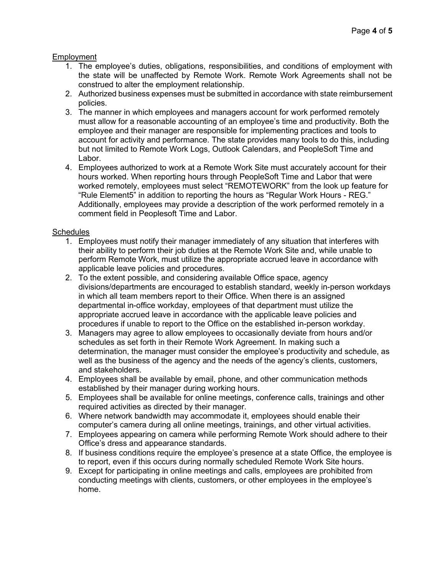## **Employment**

- 1. The employee's duties, obligations, responsibilities, and conditions of employment with the state will be unaffected by Remote Work. Remote Work Agreements shall not be construed to alter the employment relationship.
- 2. Authorized business expenses must be submitted in accordance with state reimbursement policies.
- 3. The manner in which employees and managers account for work performed remotely must allow for a reasonable accounting of an employee's time and productivity. Both the employee and their manager are responsible for implementing practices and tools to account for activity and performance. The state provides many tools to do this, including but not limited to Remote Work Logs, Outlook Calendars, and PeopleSoft Time and Labor.
- 4. Employees authorized to work at a Remote Work Site must accurately account for their hours worked. When reporting hours through PeopleSoft Time and Labor that were worked remotely, employees must select "REMOTEWORK" from the look up feature for "Rule Element5" in addition to reporting the hours as "Regular Work Hours - REG." Additionally, employees may provide a description of the work performed remotely in a comment field in Peoplesoft Time and Labor.

# **Schedules**

- 1. Employees must notify their manager immediately of any situation that interferes with their ability to perform their job duties at the Remote Work Site and, while unable to perform Remote Work, must utilize the appropriate accrued leave in accordance with applicable leave policies and procedures.
- 2. To the extent possible, and considering available Office space, agency divisions/departments are encouraged to establish standard, weekly in-person workdays in which all team members report to their Office. When there is an assigned departmental in-office workday, employees of that department must utilize the appropriate accrued leave in accordance with the applicable leave policies and procedures if unable to report to the Office on the established in-person workday.
- 3. Managers may agree to allow employees to occasionally deviate from hours and/or schedules as set forth in their Remote Work Agreement. In making such a determination, the manager must consider the employee's productivity and schedule, as well as the business of the agency and the needs of the agency's clients, customers, and stakeholders.
- 4. Employees shall be available by email, phone, and other communication methods established by their manager during working hours.
- 5. Employees shall be available for online meetings, conference calls, trainings and other required activities as directed by their manager.
- 6. Where network bandwidth may accommodate it, employees should enable their computer's camera during all online meetings, trainings, and other virtual activities.
- 7. Employees appearing on camera while performing Remote Work should adhere to their Office's dress and appearance standards.
- 8. If business conditions require the employee's presence at a state Office, the employee is to report, even if this occurs during normally scheduled Remote Work Site hours.
- 9. Except for participating in online meetings and calls, employees are prohibited from conducting meetings with clients, customers, or other employees in the employee's home.